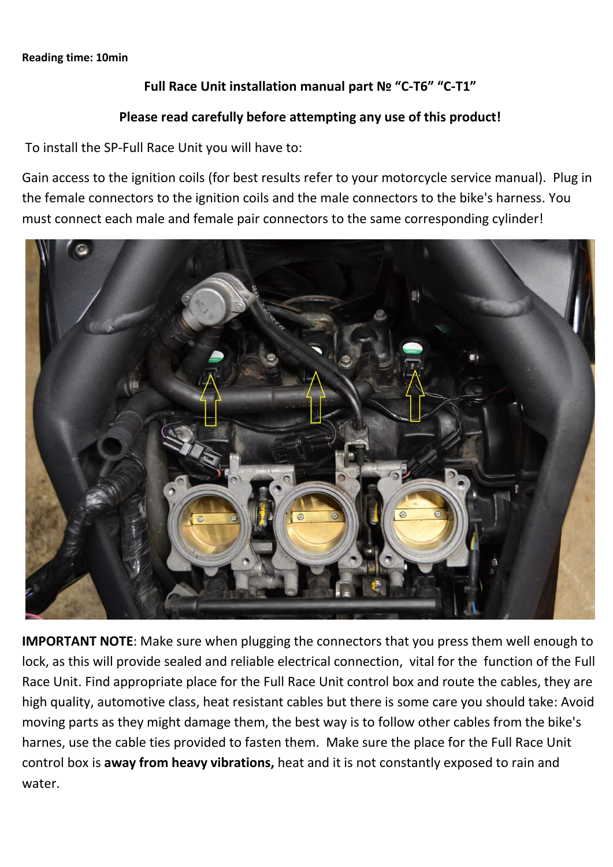#### **Reading time: 10min**

### **Full Race Unit installation manual part № "C-T6" "C-T1"**

#### **Please read carefully before attempting any use of this product!**

To install the SP-Full Race Unit you will have to:

Gain access to the ignition coils (for best results refer to your motorcycle service manual). Plug in the female connectors to the ignition coils and the male connectors to the bike's harness. You must connect each male and female pair connectors to the same corresponding cylinder!



**IMPORTANT NOTE**: Make sure when plugging the connectors that you press them well enough to lock, as this will provide sealed and reliable electrical connection, vital for the function of the Full Race Unit. Find appropriate place for the Full Race Unit control box and route the cables, they are high quality, automotive class, heat resistant cables but there is some care you should take: Avoid moving parts as they might damage them, the best way is to follow other cables from the bike's harnes, use the cable ties provided to fasten them. Make sure the place for the Full Race Unit control box is **away from heavy vibrations,** heat and it is not constantly exposed to rain and water.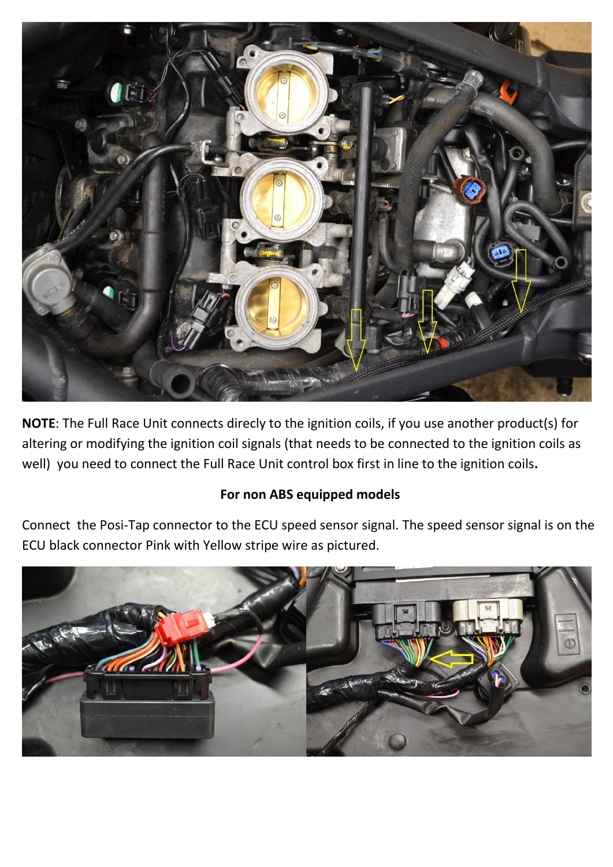

**NOTE**: The Full Race Unit connects direcly to the ignition coils, if you use another product(s) for altering or modifying the ignition coil signals (that needs to be connected to the ignition coils as well) you need to connect the Full Race Unit control box first in line to the ignition coils**.**

#### **For non ABS equipped models**

Connect the Posi-Tap connector to the ECU speed sensor signal. The speed sensor signal is on the ECU black connector Pink with Yellow stripe wire as pictured.

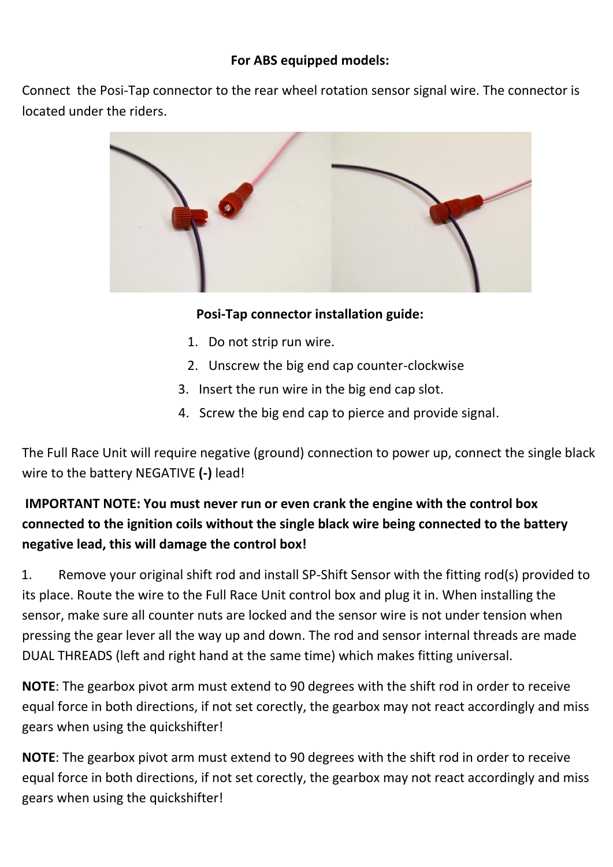#### **For ABS equipped models:**

Connect the Posi-Tap connector to the rear wheel rotation sensor signal wire. The connector is located under the riders.



### **Posi-Tap connector installation guide:**

- 1. Do not strip run wire.
- 2. Unscrew the big end cap counter-clockwise
- 3. Insert the run wire in the big end cap slot.
- 4. Screw the big end cap to pierce and provide signal.

The Full Race Unit will require negative (ground) connection to power up, connect the single black wire to the battery NEGATIVE **(-)** lead!

# **IMPORTANT NOTE: You must never run or even crank the engine with the control box connected to the ignition coils without the single black wire being connected to the battery negative lead, this will damage the control box!**

1. Remove your original shift rod and install SP-Shift Sensor with the fitting rod(s) provided to its place. Route the wire to the Full Race Unit control box and plug it in. When installing the sensor, make sure all counter nuts are locked and the sensor wire is not under tension when pressing the gear lever all the way up and down. The rod and sensor internal threads are made DUAL THREADS (left and right hand at the same time) which makes fitting universal.

**NOTE**: The gearbox pivot arm must extend to 90 degrees with the shift rod in order to receive equal force in both directions, if not set corectly, the gearbox may not react accordingly and miss gears when using the quickshifter!

**NOTE**: The gearbox pivot arm must extend to 90 degrees with the shift rod in order to receive equal force in both directions, if not set corectly, the gearbox may not react accordingly and miss gears when using the quickshifter!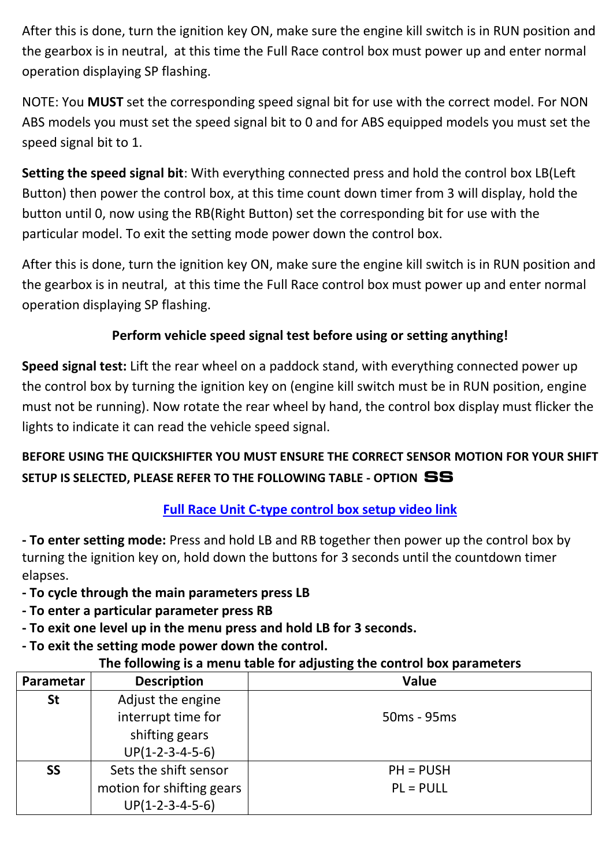After this is done, turn the ignition key ON, make sure the engine kill switch is in RUN position and the gearbox is in neutral, at this time the Full Race control box must power up and enter normal operation displaying SP flashing.

NOTE: You **MUST** set the corresponding speed signal bit for use with the correct model. For NON ABS models you must set the speed signal bit to 0 and for ABS equipped models you must set the speed signal bit to 1.

**Setting the speed signal bit**: With everything connected press and hold the control box LB(Left Button) then power the control box, at this time count down timer from 3 will display, hold the button until 0, now using the RB(Right Button) set the corresponding bit for use with the particular model. To exit the setting mode power down the control box.

After this is done, turn the ignition key ON, make sure the engine kill switch is in RUN position and the gearbox is in neutral, at this time the Full Race control box must power up and enter normal operation displaying SP flashing.

# **Perform vehicle speed signal test before using or setting anything!**

**Speed signal test:** Lift the rear wheel on a paddock stand, with everything connected power up the control box by turning the ignition key on (engine kill switch must be in RUN position, engine must not be running). Now rotate the rear wheel by hand, the control box display must flicker the lights to indicate it can read the vehicle speed signal.

# **BEFORE USING THE QUICKSHIFTER YOU MUST ENSURE THE CORRECT SENSOR MOTION FOR YOUR SHIFT SETUP IS SELECTED, PLEASE REFER TO THE FOLLOWING TABLE - OPTION SS**

## **[Full Race Unit C-type control box setup video link](https://www.youtube.com/watch?v=F7cZbhF6Eu0)**

**- To enter setting mode:** Press and hold LB and RB together then power up the control box by turning the ignition key on, hold down the buttons for 3 seconds until the countdown timer elapses.

- **- To cycle through the main parameters press LB**
- **- To enter a particular parameter press RB**
- **- To exit one level up in the menu press and hold LB for 3 seconds.**
- **- To exit the setting mode power down the control.**

#### **The following is a menu table for adjusting the control box parameters**

| Parametar | <b>Description</b>        | <b>Value</b> |  |  |  |
|-----------|---------------------------|--------------|--|--|--|
| <b>St</b> | Adjust the engine         |              |  |  |  |
|           | interrupt time for        | 50ms - 95ms  |  |  |  |
|           | shifting gears            |              |  |  |  |
|           | $UP(1-2-3-4-5-6)$         |              |  |  |  |
| <b>SS</b> | Sets the shift sensor     | $PH = PUSH$  |  |  |  |
|           | motion for shifting gears | $PL = PULL$  |  |  |  |
|           | $UP(1-2-3-4-5-6)$         |              |  |  |  |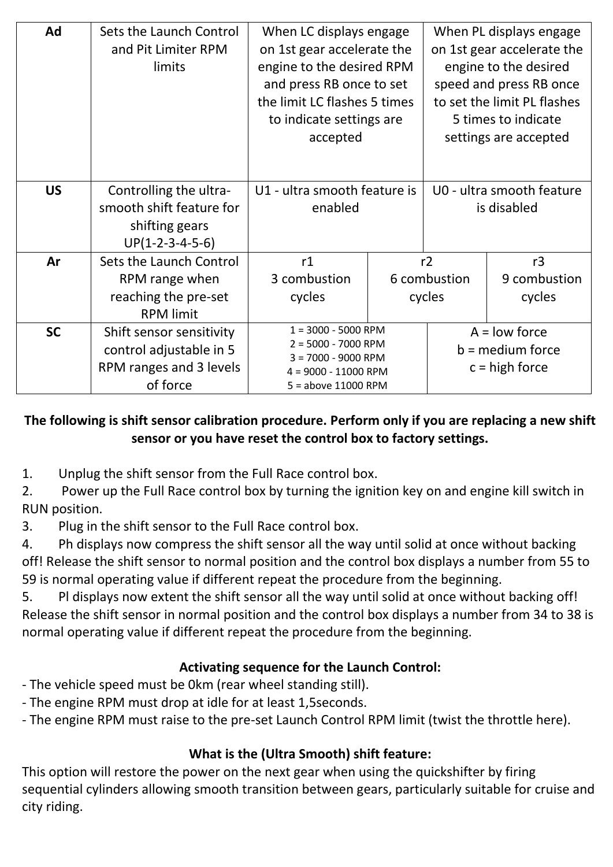| Ad        | Sets the Launch Control<br>and Pit Limiter RPM<br>limits                                   | When LC displays engage<br>on 1st gear accelerate the<br>engine to the desired RPM<br>and press RB once to set<br>the limit LC flashes 5 times<br>to indicate settings are<br>accepted |  | When PL displays engage<br>on 1st gear accelerate the<br>engine to the desired<br>speed and press RB once<br>to set the limit PL flashes<br>5 times to indicate<br>settings are accepted |                              |
|-----------|--------------------------------------------------------------------------------------------|----------------------------------------------------------------------------------------------------------------------------------------------------------------------------------------|--|------------------------------------------------------------------------------------------------------------------------------------------------------------------------------------------|------------------------------|
| <b>US</b> | Controlling the ultra-<br>smooth shift feature for<br>shifting gears<br>$UP(1-2-3-4-5-6)$  | U1 - ultra smooth feature is<br>enabled                                                                                                                                                |  | U0 - ultra smooth feature<br>is disabled                                                                                                                                                 |                              |
| Ar        | Sets the Launch Control<br>RPM range when<br>reaching the pre-set<br><b>RPM</b> limit      | r1<br>3 combustion<br>cycles                                                                                                                                                           |  | r2<br>6 combustion<br>cycles                                                                                                                                                             | r3<br>9 combustion<br>cycles |
| <b>SC</b> | Shift sensor sensitivity<br>control adjustable in 5<br>RPM ranges and 3 levels<br>of force | $1 = 3000 - 5000$ RPM<br>$2 = 5000 - 7000$ RPM<br>$3 = 7000 - 9000$ RPM<br>$4 = 9000 - 11000$ RPM<br>$5 = above 11000$ RPM                                                             |  | $A = low force$<br>$b = medium force$<br>$c = high force$                                                                                                                                |                              |

# **The following is shift sensor calibration procedure. Perform only if you are replacing a new shift sensor or you have reset the control box to factory settings.**

1. Unplug the shift sensor from the Full Race control box.

2. Power up the Full Race control box by turning the ignition key on and engine kill switch in RUN position.

3. Plug in the shift sensor to the Full Race control box.

4. Ph displays now compress the shift sensor all the way until solid at once without backing off! Release the shift sensor to normal position and the control box displays a number from 55 to 59 is normal operating value if different repeat the procedure from the beginning.

5. Pl displays now extent the shift sensor all the way until solid at once without backing off! Release the shift sensor in normal position and the control box displays a number from 34 to 38 is normal operating value if different repeat the procedure from the beginning.

# **Activating sequence for the Launch Control:**

- The vehicle speed must be 0km (rear wheel standing still).

- The engine RPM must drop at idle for at least 1,5seconds.

- The engine RPM must raise to the pre-set Launch Control RPM limit (twist the throttle here).

# **What is the (Ultra Smooth) shift feature:**

This option will restore the power on the next gear when using the quickshifter by firing sequential cylinders allowing smooth transition between gears, particularly suitable for cruise and city riding.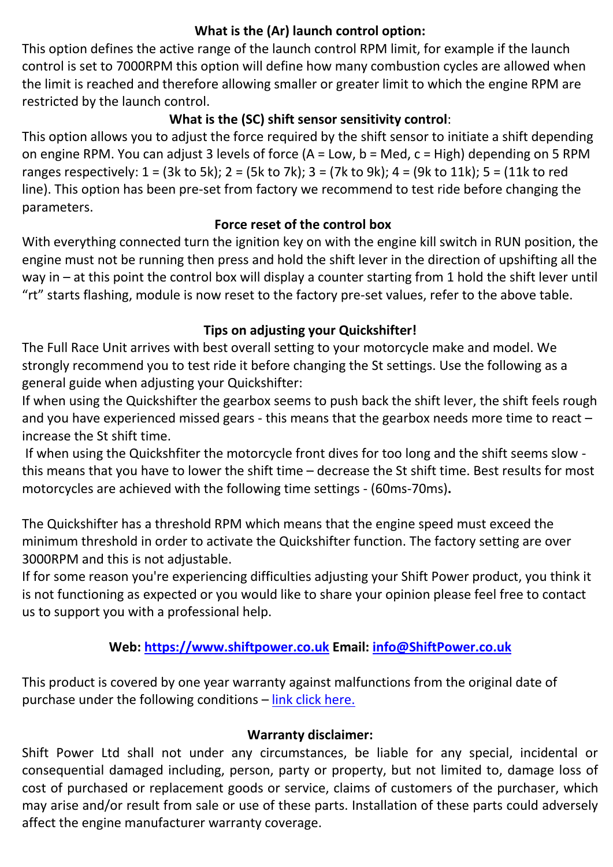### **What is the (Ar) launch control option:**

This option defines the active range of the launch control RPM limit, for example if the launch control is set to 7000RPM this option will define how many combustion cycles are allowed when the limit is reached and therefore allowing smaller or greater limit to which the engine RPM are restricted by the launch control.

# **What is the (SC) shift sensor sensitivity control**:

This option allows you to adjust the force required by the shift sensor to initiate a shift depending on engine RPM. You can adjust 3 levels of force (A = Low, b = Med, c = High) depending on 5 RPM ranges respectively:  $1 = (3k \text{ to } 5k)$ ;  $2 = (5k \text{ to } 7k)$ ;  $3 = (7k \text{ to } 9k)$ ;  $4 = (9k \text{ to } 11k)$ ;  $5 = (11k \text{ to } red$ line). This option has been pre-set from factory we recommend to test ride before changing the parameters.

### **Force reset of the control box**

With everything connected turn the ignition key on with the engine kill switch in RUN position, the engine must not be running then press and hold the shift lever in the direction of upshifting all the way in – at this point the control box will display a counter starting from 1 hold the shift lever until "rt" starts flashing, module is now reset to the factory pre-set values, refer to the above table.

# **Tips on adjusting your Quickshifter!**

The Full Race Unit arrives with best overall setting to your motorcycle make and model. We strongly recommend you to test ride it before changing the St settings. Use the following as a general guide when adjusting your Quickshifter:

If when using the Quickshifter the gearbox seems to push back the shift lever, the shift feels rough and you have experienced missed gears - this means that the gearbox needs more time to react – increase the St shift time.

If when using the Quickshfiter the motorcycle front dives for too long and the shift seems slow this means that you have to lower the shift time – decrease the St shift time. Best results for most motorcycles are achieved with the following time settings - (60ms-70ms)**.** 

The Quickshifter has a threshold RPM which means that the engine speed must exceed the minimum threshold in order to activate the Quickshifter function. The factory setting are over 3000RPM and this is not adjustable.

If for some reason you're experiencing difficulties adjusting your Shift Power product, you think it is not functioning as expected or you would like to share your opinion please feel free to contact us to support you with a professional help.

## **Web: [https://www.shiftpower.co.uk](https://www.shiftpower.co.uk/) Email: [info@ShiftPower.co.uk](mailto:info@ShiftPower.co.uk)**

This product is covered by one year warranty against malfunctions from the original date of purchase under the following conditions – [link click here.](https://shiftpower.co.uk/terms)

## **Warranty disclaimer:**

Shift Power Ltd shall not under any circumstances, be liable for any special, incidental or consequential damaged including, person, party or property, but not limited to, damage loss of cost of purchased or replacement goods or service, claims of customers of the purchaser, which may arise and/or result from sale or use of these parts. Installation of these parts could adversely affect the engine manufacturer warranty coverage.